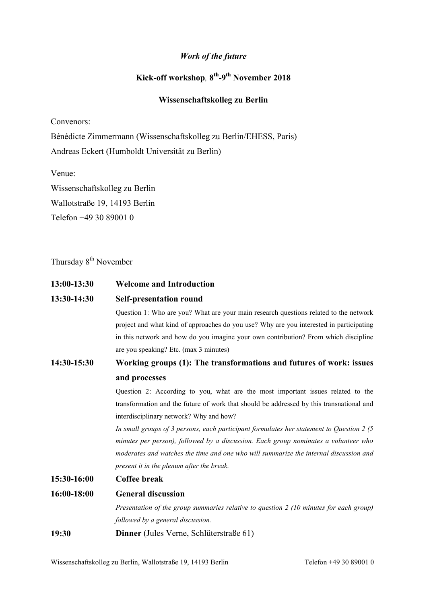### Work of the future

## Kick-off workshop, 8<sup>th</sup>-9<sup>th</sup> November 2018

## Wissenschaftskolleg zu Berlin

Convenors:

Bénédicte Zimmermann (Wissenschaftskolleg zu Berlin/EHESS, Paris) Andreas Eckert (Humboldt Universität zu Berlin)

Venue:

Wissenschaftskolleg zu Berlin Wallotstraße 19, 14193 Berlin Telefon +49 30 89001 0

# Thursday 8<sup>th</sup> November

| 13:00-13:30 | <b>Welcome and Introduction</b>                                                             |  |  |
|-------------|---------------------------------------------------------------------------------------------|--|--|
| 13:30-14:30 | <b>Self-presentation round</b>                                                              |  |  |
|             | Question 1: Who are you? What are your main research questions related to the network       |  |  |
|             | project and what kind of approaches do you use? Why are you interested in participating     |  |  |
|             | in this network and how do you imagine your own contribution? From which discipline         |  |  |
|             | are you speaking? Etc. (max 3 minutes)                                                      |  |  |
| 14:30-15:30 | Working groups (1): The transformations and futures of work: issues                         |  |  |
|             | and processes                                                                               |  |  |
|             | Question 2: According to you, what are the most important issues related to the             |  |  |
|             | transformation and the future of work that should be addressed by this transnational and    |  |  |
|             | interdisciplinary network? Why and how?                                                     |  |  |
|             | In small groups of 3 persons, each participant formulates her statement to Question 2 $(5)$ |  |  |
|             | minutes per person), followed by a discussion. Each group nominates a volunteer who         |  |  |
|             | moderates and watches the time and one who will summarize the internal discussion and       |  |  |
|             | present it in the plenum after the break.                                                   |  |  |
| 15:30-16:00 | Coffee break                                                                                |  |  |
| 16:00-18:00 | <b>General discussion</b>                                                                   |  |  |
|             | Presentation of the group summaries relative to question 2 (10 minutes for each group)      |  |  |
|             | followed by a general discussion.                                                           |  |  |
| 19:30       | Dinner (Jules Verne, Schlüterstraße 61)                                                     |  |  |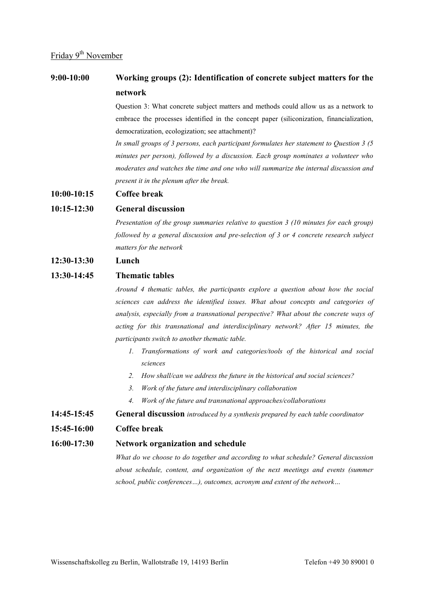## 9:00-10:00 Working groups (2): Identification of concrete subject matters for the network

Question 3: What concrete subject matters and methods could allow us as a network to embrace the processes identified in the concept paper (siliconization, financialization, democratization, ecologization; see attachment)?

In small groups of 3 persons, each participant formulates her statement to Question 3 (5 minutes per person), followed by a discussion. Each group nominates a volunteer who moderates and watches the time and one who will summarize the internal discussion and present it in the plenum after the break.

#### 10:00-10:15 Coffee break

#### 10:15-12:30 General discussion

Presentation of the group summaries relative to question 3 (10 minutes for each group) followed by a general discussion and pre-selection of 3 or 4 concrete research subject matters for the network

#### 12:30-13:30 Lunch

#### 13:30-14:45 Thematic tables

Around 4 thematic tables, the participants explore a question about how the social sciences can address the identified issues. What about concepts and categories of analysis, especially from a transnational perspective? What about the concrete ways of acting for this transnational and interdisciplinary network? After 15 minutes, the participants switch to another thematic table.

- 1. Transformations of work and categories/tools of the historical and social sciences
- 2. How shall/can we address the future in the historical and social sciences?
- 3. Work of the future and interdisciplinary collaboration
- 4. Work of the future and transnational approaches/collaborations
- **14:45-15:45** General discussion introduced by a synthesis prepared by each table coordinator

#### 15:45-16:00 Coffee break

#### 16:00-17:30 Network organization and schedule

What do we choose to do together and according to what schedule? General discussion about schedule, content, and organization of the next meetings and events (summer school, public conferences…), outcomes, acronym and extent of the network…